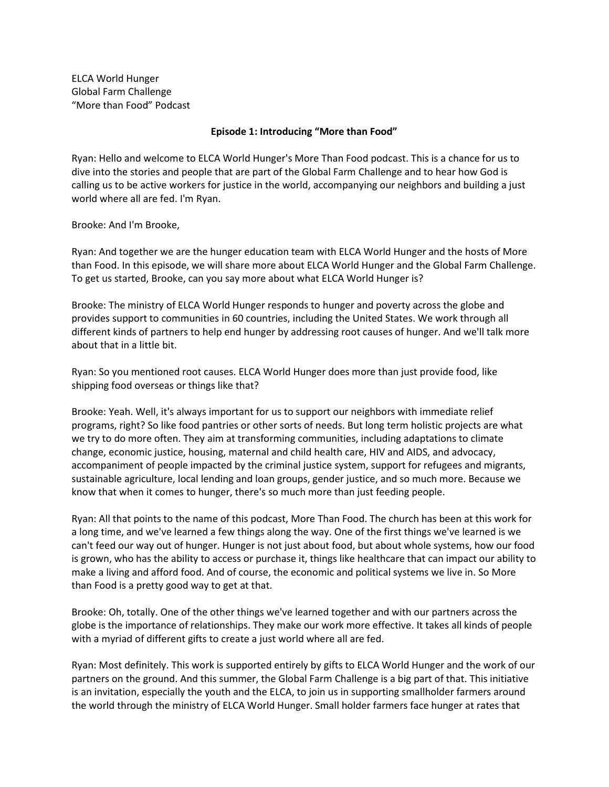ELCA World Hunger Global Farm Challenge "More than Food" Podcast

## Episode 1: Introducing "More than Food"

Ryan: Hello and welcome to ELCA World Hunger's More Than Food podcast. This is a chance for us to dive into the stories and people that are part of the Global Farm Challenge and to hear how God is calling us to be active workers for justice in the world, accompanying our neighbors and building a just world where all are fed. I'm Ryan.

Brooke: And I'm Brooke,

Ryan: And together we are the hunger education team with ELCA World Hunger and the hosts of More than Food. In this episode, we will share more about ELCA World Hunger and the Global Farm Challenge. To get us started, Brooke, can you say more about what ELCA World Hunger is?

Brooke: The ministry of ELCA World Hunger responds to hunger and poverty across the globe and provides support to communities in 60 countries, including the United States. We work through all different kinds of partners to help end hunger by addressing root causes of hunger. And we'll talk more about that in a little bit.

Ryan: So you mentioned root causes. ELCA World Hunger does more than just provide food, like shipping food overseas or things like that?

Brooke: Yeah. Well, it's always important for us to support our neighbors with immediate relief programs, right? So like food pantries or other sorts of needs. But long term holistic projects are what we try to do more often. They aim at transforming communities, including adaptations to climate change, economic justice, housing, maternal and child health care, HIV and AIDS, and advocacy, accompaniment of people impacted by the criminal justice system, support for refugees and migrants, sustainable agriculture, local lending and loan groups, gender justice, and so much more. Because we know that when it comes to hunger, there's so much more than just feeding people.

Ryan: All that points to the name of this podcast, More Than Food. The church has been at this work for a long time, and we've learned a few things along the way. One of the first things we've learned is we can't feed our way out of hunger. Hunger is not just about food, but about whole systems, how our food is grown, who has the ability to access or purchase it, things like healthcare that can impact our ability to make a living and afford food. And of course, the economic and political systems we live in. So More than Food is a pretty good way to get at that.

Brooke: Oh, totally. One of the other things we've learned together and with our partners across the globe is the importance of relationships. They make our work more effective. It takes all kinds of people with a myriad of different gifts to create a just world where all are fed.

Ryan: Most definitely. This work is supported entirely by gifts to ELCA World Hunger and the work of our partners on the ground. And this summer, the Global Farm Challenge is a big part of that. This initiative is an invitation, especially the youth and the ELCA, to join us in supporting smallholder farmers around the world through the ministry of ELCA World Hunger. Small holder farmers face hunger at rates that